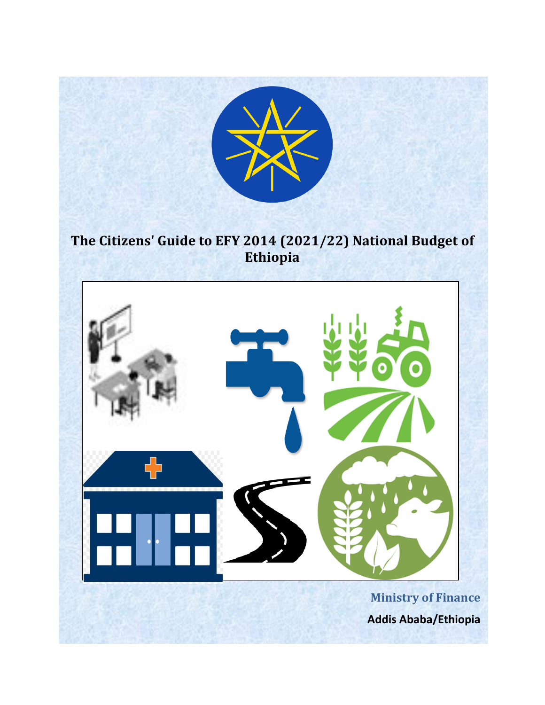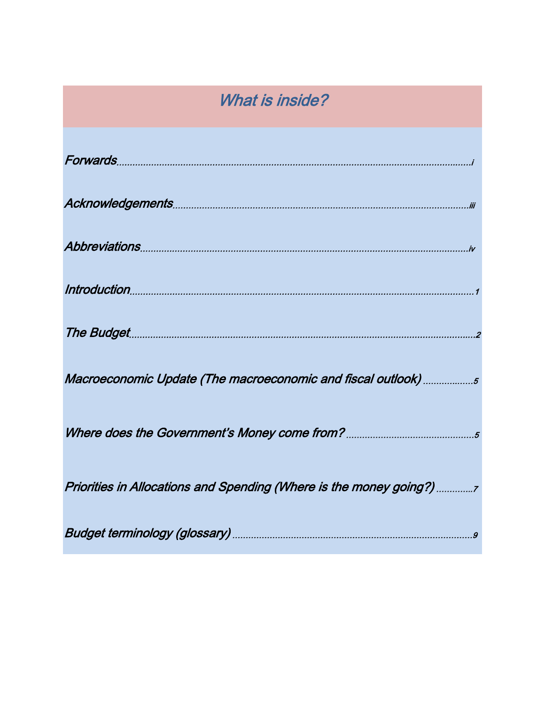# What is inside?

| Macroeconomic Update (The macroeconomic and fiscal outlook) 5        |
|----------------------------------------------------------------------|
|                                                                      |
| Priorities in Allocations and Spending (Where is the money going?) 7 |
|                                                                      |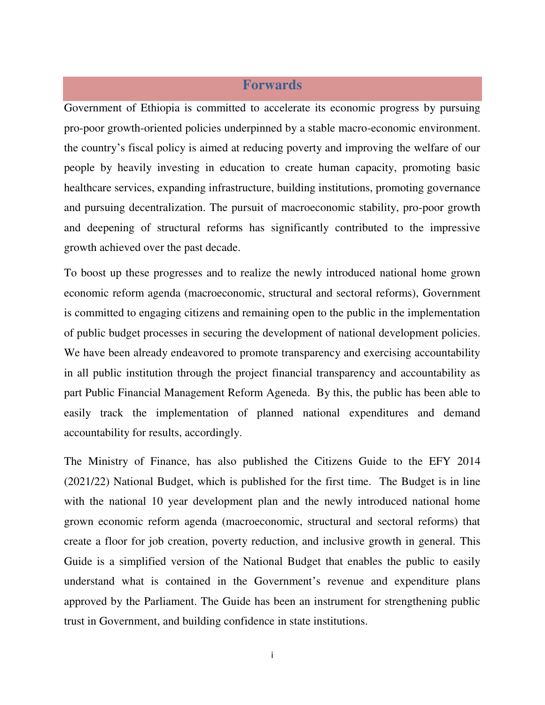#### **Forwards**

Government of Ethiopia is committed to accelerate its economic progress by pursuing pro-poor growth-oriented policies underpinned by a stable macro-economic environment. the country's fiscal policy is aimed at reducing poverty and improving the welfare of our people by heavily investing in education to create human capacity, promoting basic healthcare services, expanding infrastructure, building institutions, promoting governance and pursuing decentralization. The pursuit of macroeconomic stability, pro-poor growth and deepening of structural reforms has significantly contributed to the impressive growth achieved over the past decade.

To boost up these progresses and to realize the newly introduced national home grown economic reform agenda (macroeconomic, structural and sectoral reforms), Government is committed to engaging citizens and remaining open to the public in the implementation of public budget processes in securing the development of national development policies. We have been already endeavored to promote transparency and exercising accountability in all public institution through the project financial transparency and accountability as part Public Financial Management Reform Ageneda. By this, the public has been able to easily track the implementation of planned national expenditures and demand accountability for results, accordingly.

The Ministry of Finance, has also published the Citizens Guide to the EFY 2014 (2021/22) National Budget, which is published for the first time. The Budget is in line with the national 10 year development plan and the newly introduced national home grown economic reform agenda (macroeconomic, structural and sectoral reforms) that create a floor for job creation, poverty reduction, and inclusive growth in general. This Guide is a simplified version of the National Budget that enables the public to easily understand what is contained in the Government's revenue and expenditure plans approved by the Parliament. The Guide has been an instrument for strengthening public trust in Government, and building confidence in state institutions.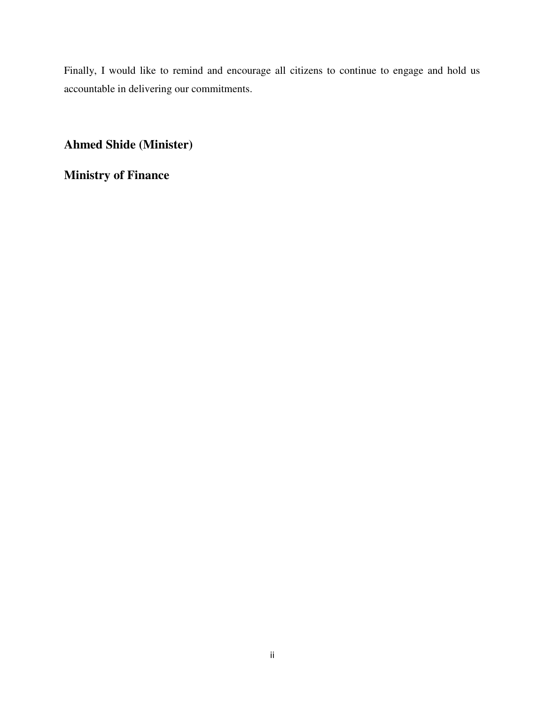Finally, I would like to remind and encourage all citizens to continue to engage and hold us accountable in delivering our commitments.

**Ahmed Shide (Minister)** 

**Ministry of Finance**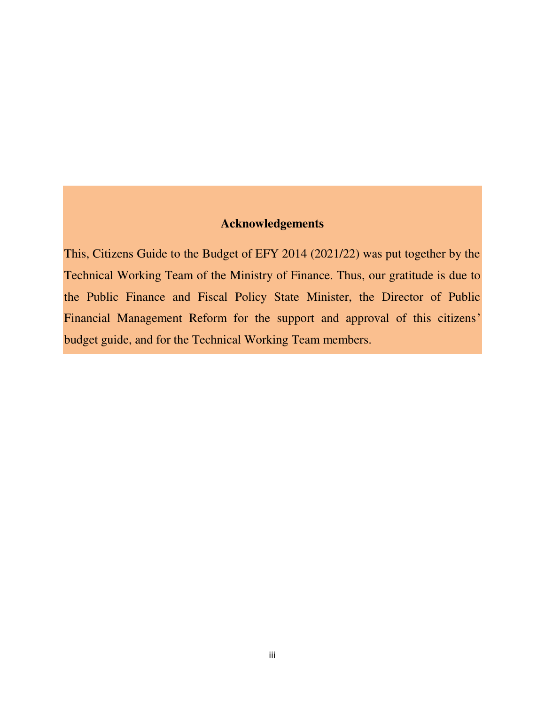## **Acknowledgements**

This, Citizens Guide to the Budget of EFY 2014 (2021/22) was put together by the Technical Working Team of the Ministry of Finance. Thus, our gratitude is due to the Public Finance and Fiscal Policy State Minister, the Director of Public Financial Management Reform for the support and approval of this citizens' budget guide, and for the Technical Working Team members.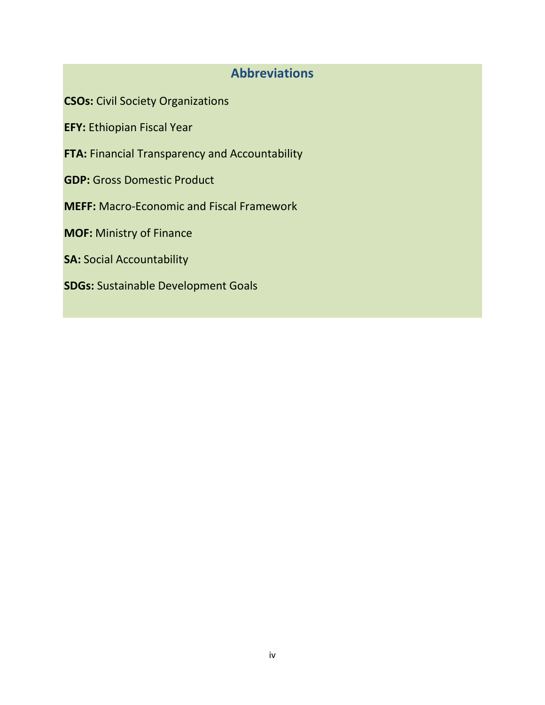# **Abbreviations**

**CSOs:** Civil Society Organizations

**EFY:** Ethiopian Fiscal Year

**FTA:** Financial Transparency and Accountability

**GDP:** Gross Domestic Product

**MEFF:** Macro-Economic and Fiscal Framework

**MOF:** Ministry of Finance

**SA:** Social Accountability

**SDGs:** Sustainable Development Goals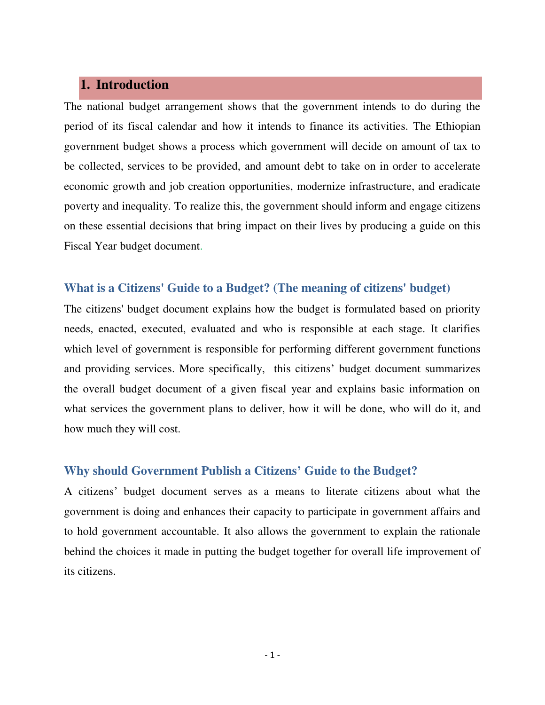#### **1. Introduction**

The national budget arrangement shows that the government intends to do during the period of its fiscal calendar and how it intends to finance its activities. The Ethiopian government budget shows a process which government will decide on amount of tax to be collected, services to be provided, and amount debt to take on in order to accelerate economic growth and job creation opportunities, modernize infrastructure, and eradicate poverty and inequality. To realize this, the government should inform and engage citizens on these essential decisions that bring impact on their lives by producing a guide on this Fiscal Year budget document.

#### **What is a Citizens' Guide to a Budget? (The meaning of citizens' budget)**

The citizens' budget document explains how the budget is formulated based on priority needs, enacted, executed, evaluated and who is responsible at each stage. It clarifies which level of government is responsible for performing different government functions and providing services. More specifically, this citizens' budget document summarizes the overall budget document of a given fiscal year and explains basic information on what services the government plans to deliver, how it will be done, who will do it, and how much they will cost.

#### **Why should Government Publish a Citizens' Guide to the Budget?**

A citizens' budget document serves as a means to literate citizens about what the government is doing and enhances their capacity to participate in government affairs and to hold government accountable. It also allows the government to explain the rationale behind the choices it made in putting the budget together for overall life improvement of its citizens.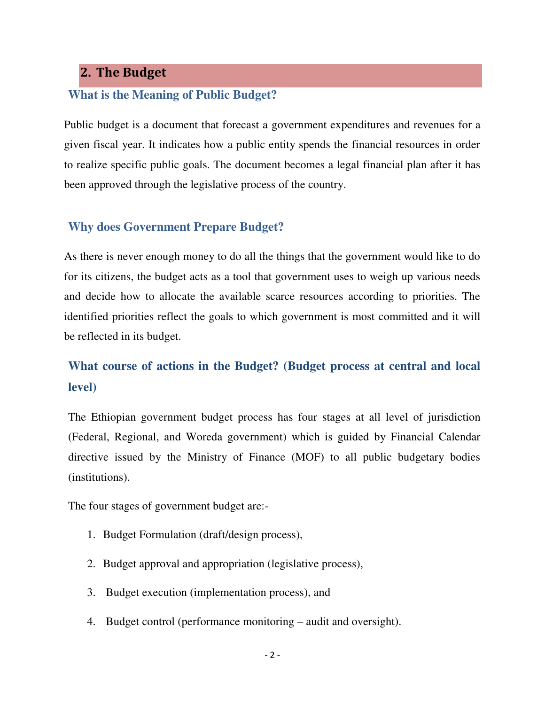# **2. The Budget**

#### **What is the Meaning of Public Budget?**

Public budget is a document that forecast a government expenditures and revenues for a given fiscal year. It indicates how a public entity spends the financial resources in order to realize specific public goals. The document becomes a legal financial plan after it has been approved through the legislative process of the country.

#### **Why does Government Prepare Budget?**

As there is never enough money to do all the things that the government would like to do for its citizens, the budget acts as a tool that government uses to weigh up various needs and decide how to allocate the available scarce resources according to priorities. The identified priorities reflect the goals to which government is most committed and it will be reflected in its budget.

# **What course of actions in the Budget? (Budget process at central and local level)**

The Ethiopian government budget process has four stages at all level of jurisdiction (Federal, Regional, and Woreda government) which is guided by Financial Calendar directive issued by the Ministry of Finance (MOF) to all public budgetary bodies (institutions).

The four stages of government budget are:-

- 1. Budget Formulation (draft/design process),
- 2. Budget approval and appropriation (legislative process),
- 3. Budget execution (implementation process), and
- 4. Budget control (performance monitoring audit and oversight).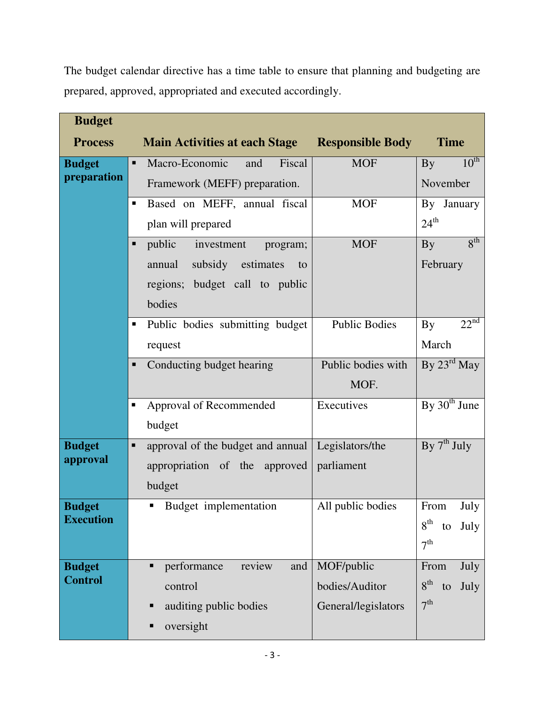The budget calendar directive has a time table to ensure that planning and budgeting are prepared, approved, appropriated and executed accordingly.

| <b>Budget</b>    |                                        |                         |                               |
|------------------|----------------------------------------|-------------------------|-------------------------------|
| <b>Process</b>   | <b>Main Activities at each Stage</b>   | <b>Responsible Body</b> | <b>Time</b>                   |
| <b>Budget</b>    | Macro-Economic<br>Fiscal<br>٠<br>and   | <b>MOF</b>              | $10^{\text{th}}$<br>By        |
| preparation      | Framework (MEFF) preparation.          |                         | November                      |
|                  | Based on MEFF, annual fiscal<br>٠      | <b>MOF</b>              | By January                    |
|                  | plan will prepared                     |                         | $24^{\text{th}}$              |
|                  | public<br>investment<br>program;<br>■  | <b>MOF</b>              | $8^{\text{th}}$<br><b>By</b>  |
|                  | subsidy<br>estimates<br>annual<br>to   |                         | February                      |
|                  | regions; budget call to public         |                         |                               |
|                  | bodies                                 |                         |                               |
|                  | Public bodies submitting budget<br>٠   | <b>Public Bodies</b>    | 22 <sup>nd</sup><br><b>By</b> |
|                  | request                                |                         | March                         |
|                  | Conducting budget hearing<br>Ξ         | Public bodies with      | By $23^{\text{rd}}$ May       |
|                  |                                        | MOF.                    |                               |
|                  | Approval of Recommended<br>٠           | Executives              | By $30th$ June                |
|                  | budget                                 |                         |                               |
| <b>Budget</b>    | approval of the budget and annual<br>Ξ | Legislators/the         | By $7th$ July                 |
| approval         | appropriation of the approved          | parliament              |                               |
|                  | budget                                 |                         |                               |
| <b>Budget</b>    | Budget implementation                  | All public bodies       | From<br>July                  |
| <b>Execution</b> |                                        |                         | 8 <sup>th</sup><br>July<br>to |
|                  |                                        |                         | 7 <sup>th</sup>               |
| <b>Budget</b>    | performance<br>review<br>and<br>■      | MOF/public              | From<br>July                  |
| <b>Control</b>   | control                                | bodies/Auditor          | $8^{\text{th}}$<br>to<br>July |
|                  | auditing public bodies<br>■            | General/legislators     | 7 <sup>th</sup>               |
|                  | oversight<br>■                         |                         |                               |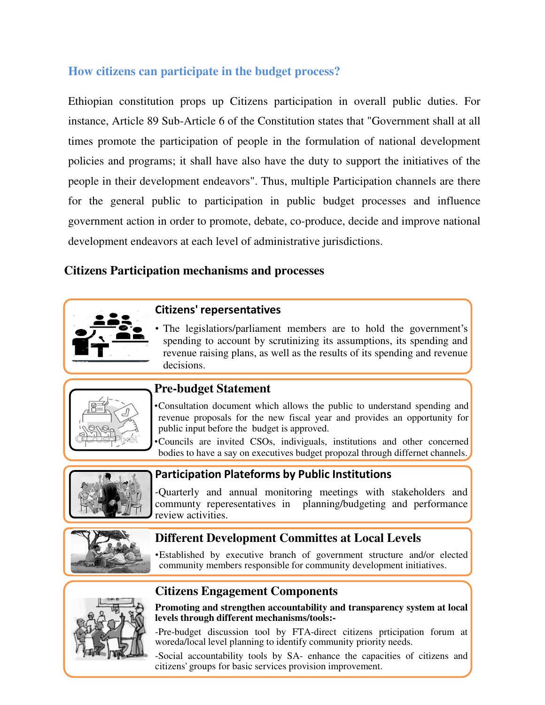# **How citizens can participate in the budget process?**

Ethiopian constitution props up Citizens participation in overall public duties. For instance, Article 89 Sub-Article 6 of the Constitution states that "Government shall at all times promote the participation of people in the formulation of national development policies and programs; it shall have also have the duty to support the initiatives of the people in their development endeavors". Thus, multiple Participation channels are there for the general public to participation in public budget processes and influence government action in order to promote, debate, co-produce, decide and improve national development endeavors at each level of administrative jurisdictions.

#### **Citizens Participation mechanisms and processes**



The legislatiors/parliament members are to hold the government's spending to account by scrutinizing its assumptions, its spending and revenue raising plans, as well as the results of its spending and revenue decisions.



#### **Pre-budget Statement**

•Consultation document which allows the public to understand spending and revenue proposals for the new fiscal year and provides an opportunity for public input before the budget is approved.

•Councils are invited CSOs, indiviguals, institutions and other concerned bodies to have a say on executives budget propozal through differnet channels.



#### **Participation Plateforms by Public Institutions**

-Quarterly and annual monitoring meetings with stakeholders and communty reperesentatives in planning/budgeting and performance review activities.



# **Different Development Committes at Local Levels**

•Established by executive branch of government structure and/or elected community members responsible for community development initiatives.



# **Citizens Engagement Components**



-Pre-budget discussion tool by FTA-direct citizens prticipation forum at woreda/local level planning to identify community priority needs.

4 -Social accountability tools by SA- enhance the capacities of citizens and citizens' groups for basic services provision improvement.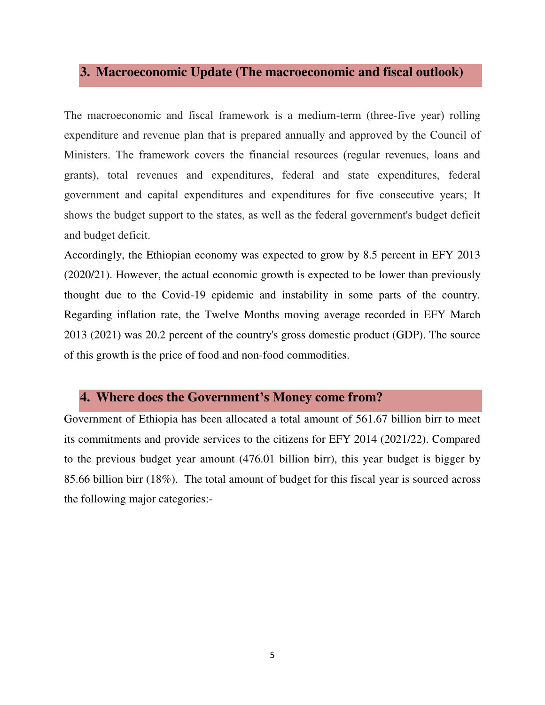## **3. Macroeconomic Update (The macroeconomic and fiscal outlook)**

The macroeconomic and fiscal framework is a medium-term (three-five year) rolling expenditure and revenue plan that is prepared annually and approved by the Council of Ministers. The framework covers the financial resources (regular revenues, loans and grants), total revenues and expenditures, federal and state expenditures, federal government and capital expenditures and expenditures for five consecutive years; It shows the budget support to the states, as well as the federal government's budget deficit and budget deficit.

Accordingly, the Ethiopian economy was expected to grow by 8.5 percent in EFY 2013 (2020/21). However, the actual economic growth is expected to be lower than previously thought due to the Covid-19 epidemic and instability in some parts of the country. Regarding inflation rate, the Twelve Months moving average recorded in EFY March 2013 (2021) was 20.2 percent of the country's gross domestic product (GDP). The source of this growth is the price of food and non-food commodities.

#### **4. Where does the Government's Money come from?**

Government of Ethiopia has been allocated a total amount of 561.67 billion birr to meet its commitments and provide services to the citizens for EFY 2014 (2021/22). Compared to the previous budget year amount (476.01 billion birr), this year budget is bigger by 85.66 billion birr (18%). The total amount of budget for this fiscal year is sourced across the following major categories:-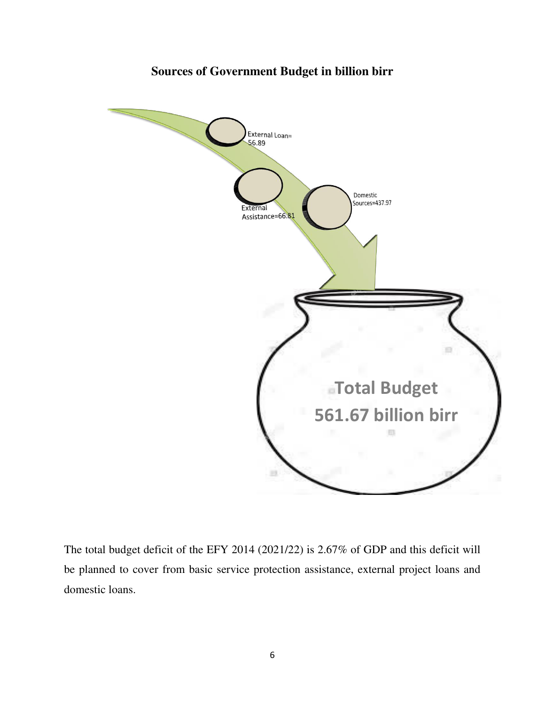# **Sources of Government Budget in billion birr**



The total budget deficit of the EFY 2014 (2021/22) is 2.67% of GDP and this deficit will be planned to cover from basic service protection assistance, external project loans and domestic loans.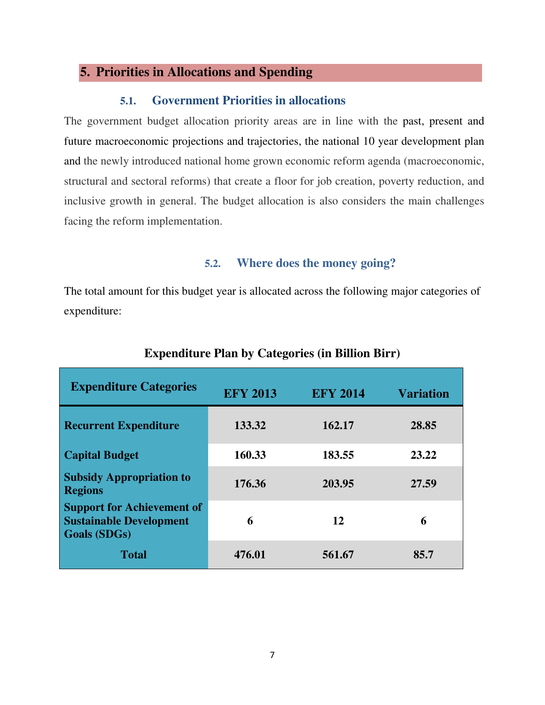### **5. Priorities in Allocations and Spending**

#### **5.1. Government Priorities in allocations**

The government budget allocation priority areas are in line with the past, present and future macroeconomic projections and trajectories, the national 10 year development plan and the newly introduced national home grown economic reform agenda (macroeconomic, structural and sectoral reforms) that create a floor for job creation, poverty reduction, and inclusive growth in general. The budget allocation is also considers the main challenges facing the reform implementation.

#### **5.2. Where does the money going?**

The total amount for this budget year is allocated across the following major categories of expenditure:

| <b>Expenditure Categories</b>                                                              | <b>EFY 2013</b> | <b>EFY 2014</b> | <b>Variation</b> |
|--------------------------------------------------------------------------------------------|-----------------|-----------------|------------------|
| <b>Recurrent Expenditure</b>                                                               | 133.32          | 162.17          | 28.85            |
| <b>Capital Budget</b>                                                                      | 160.33          | 183.55          | 23.22            |
| <b>Subsidy Appropriation to</b><br><b>Regions</b>                                          | 176.36          | 203.95          | 27.59            |
| <b>Support for Achievement of</b><br><b>Sustainable Development</b><br><b>Goals (SDGs)</b> | 6               | 12              | 6                |
| <b>Total</b>                                                                               | 476.01          | 561.67          | 85.7             |

#### **Expenditure Plan by Categories (in Billion Birr)**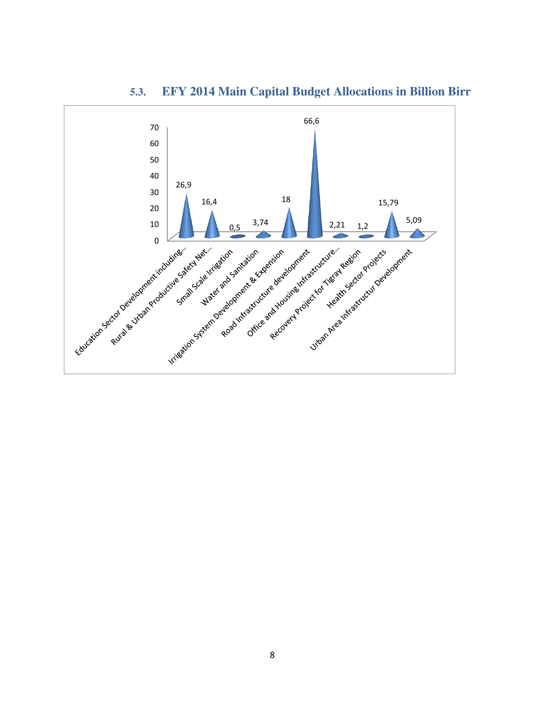

# **5.3. EFY 2014 Main Capital Budget Allocations in Billion Birr**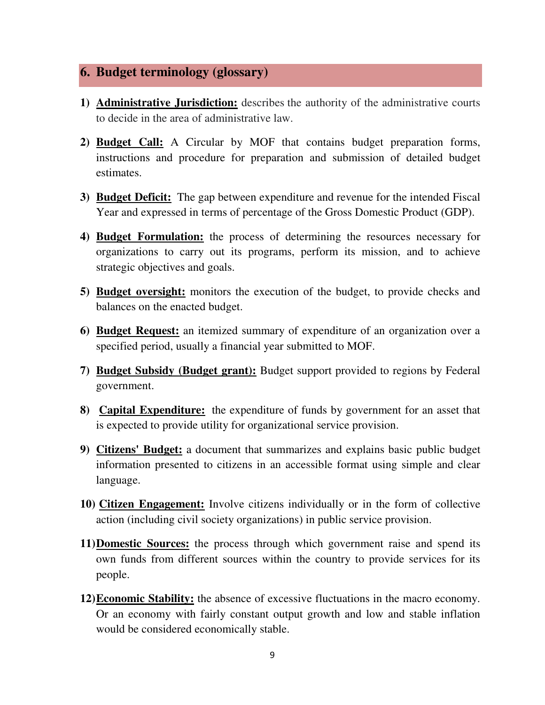# **6. Budget terminology (glossary)**

- **1) Administrative Jurisdiction:** describes the authority of the administrative courts to decide in the area of administrative law.
- **2) Budget Call:** A Circular by MOF that contains budget preparation forms, instructions and procedure for preparation and submission of detailed budget estimates.
- **3) Budget Deficit:** The gap between expenditure and revenue for the intended Fiscal Year and expressed in terms of percentage of the Gross Domestic Product (GDP).
- **4) Budget Formulation:** the process of determining the resources necessary for organizations to carry out its programs, perform its mission, and to achieve strategic objectives and goals.
- **5) Budget oversight:** monitors the execution of the budget, to provide checks and balances on the enacted budget.
- **6) Budget Request:** an itemized summary of expenditure of an organization over a specified period, usually a financial year submitted to MOF.
- **7) Budget Subsidy (Budget grant):** Budget support provided to regions by Federal government.
- **8) Capital Expenditure:** the expenditure of funds by government for an asset that is expected to provide utility for organizational service provision.
- **9) Citizens' Budget:** a document that summarizes and explains basic public budget information presented to citizens in an accessible format using simple and clear language.
- **10) Citizen Engagement:** Involve citizens individually or in the form of collective action (including civil society organizations) in public service provision.
- **11)Domestic Sources:** the process through which government raise and spend its own funds from different sources within the country to provide services for its people.
- **12)Economic Stability:** the absence of excessive fluctuations in the macro economy. Or an economy with fairly constant output growth and low and stable inflation would be considered economically stable.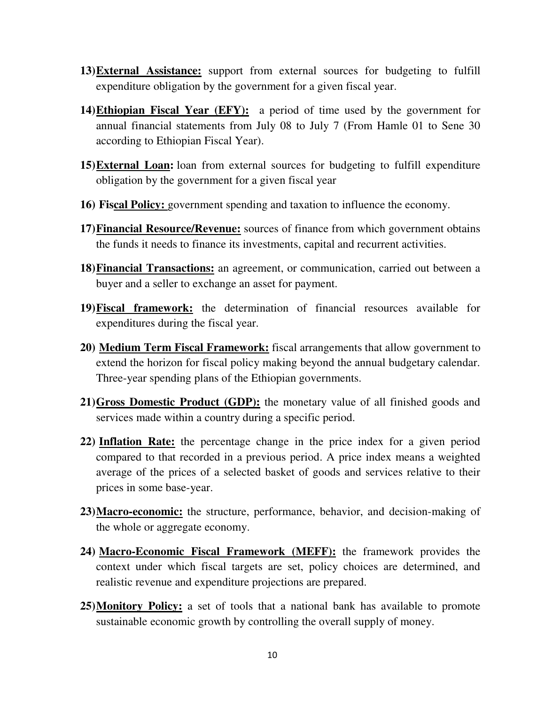- **13)External Assistance:** support from external sources for budgeting to fulfill expenditure obligation by the government for a given fiscal year.
- **14)Ethiopian Fiscal Year (EFY):** a period of time used by the government for annual financial statements from July 08 to July 7 (From Hamle 01 to Sene 30 according to Ethiopian Fiscal Year).
- **15)External Loan:** loan from external sources for budgeting to fulfill expenditure obligation by the government for a given fiscal year
- **16) Fiscal Policy:** government spending and taxation to influence the economy.
- **17)Financial Resource/Revenue:** sources of finance from which government obtains the funds it needs to finance its investments, capital and recurrent activities.
- **18)Financial Transactions:** an agreement, or communication, carried out between a buyer and a seller to exchange an asset for payment.
- **19)Fiscal framework:** the determination of financial resources available for expenditures during the fiscal year.
- **20) Medium Term Fiscal Framework:** fiscal arrangements that allow government to extend the horizon for fiscal policy making beyond the annual budgetary calendar. Three-year spending plans of the Ethiopian governments.
- **21)Gross Domestic Product (GDP):** the monetary value of all finished goods and services made within a country during a specific period.
- **22) Inflation Rate:** the percentage change in the price index for a given period compared to that recorded in a previous period. A price index means a weighted average of the prices of a selected basket of goods and services relative to their prices in some base-year.
- **23)Macro-economic:** the structure, performance, behavior, and decision-making of the whole or aggregate economy.
- **24) Macro-Economic Fiscal Framework (MEFF):** the framework provides the context under which fiscal targets are set, policy choices are determined, and realistic revenue and expenditure projections are prepared.
- **25)Monitory Policy:** a set of tools that a national bank has available to promote sustainable economic growth by controlling the overall supply of money.